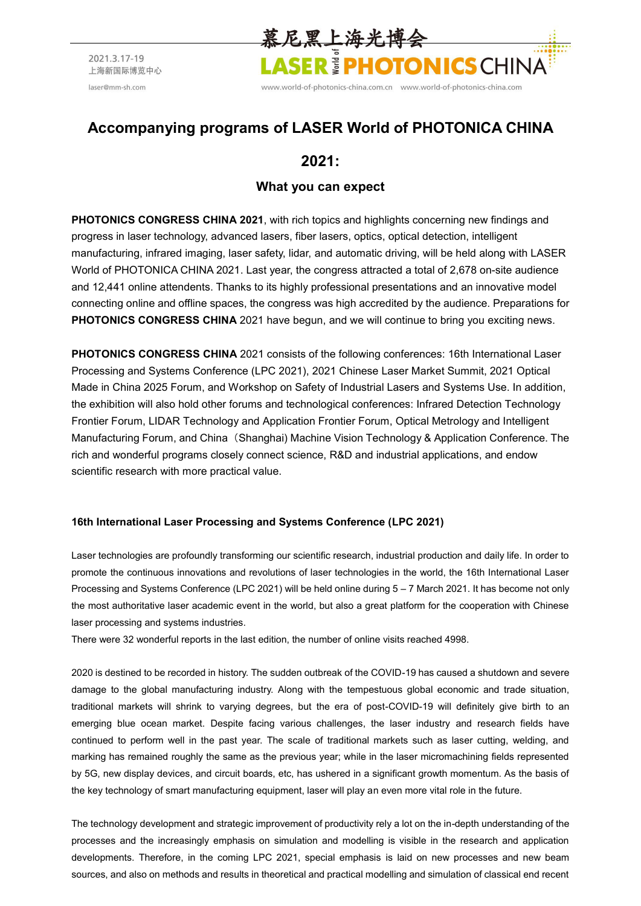

# **Accompanying programs of LASER World of PHOTONICA CHINA**

## **2021:**

### **What you can expect**

**PHOTONICS CONGRESS CHINA 2021**, with rich topics and highlights concerning new findings and progress in laser technology, advanced lasers, fiber lasers, optics, optical detection, intelligent manufacturing, infrared imaging, laser safety, lidar, and automatic driving, will be held along with LASER World of PHOTONICA CHINA 2021. Last year, the congress attracted a total of 2,678 on-site audience and 12,441 online attendents. Thanks to its highly professional presentations and an innovative model connecting online and offline spaces, the congress was high accredited by the audience. Preparations for **PHOTONICS CONGRESS CHINA** 2021 have begun, and we will continue to bring you exciting news.

**PHOTONICS CONGRESS CHINA** 2021 consists of the following conferences: 16th International Laser Processing and Systems Conference (LPC 2021), 2021 Chinese Laser Market Summit, 2021 Optical Made in China 2025 Forum, and Workshop on Safety of Industrial Lasers and Systems Use. In addition, the exhibition will also hold other forums and technological conferences: Infrared Detection Technology Frontier Forum, LIDAR Technology and Application Frontier Forum, Optical Metrology and Intelligent Manufacturing Forum, and China (Shanghai) Machine Vision Technology & Application Conference. The rich and wonderful programs closely connect science, R&D and industrial applications, and endow scientific research with more practical value.

### **16th International Laser Processing and Systems Conference (LPC 2021)**

Laser technologies are profoundly transforming our scientific research, industrial production and daily life. In order to promote the continuous innovations and revolutions of laser technologies in the world, the 16th International Laser Processing and Systems Conference (LPC 2021) will be held online during 5 – 7 March 2021. It has become not only the most authoritative laser academic event in the world, but also a great platform for the cooperation with Chinese laser processing and systems industries.

There were 32 wonderful reports in the last edition, the number of online visits reached 4998.

2020 is destined to be recorded in history. The sudden outbreak of the COVID-19 has caused a shutdown and severe damage to the global manufacturing industry. Along with the tempestuous global economic and trade situation, traditional markets will shrink to varying degrees, but the era of post-COVID-19 will definitely give birth to an emerging blue ocean market. Despite facing various challenges, the laser industry and research fields have continued to perform well in the past year. The scale of traditional markets such as laser cutting, welding, and marking has remained roughly the same as the previous year; while in the laser micromachining fields represented by 5G, new display devices, and circuit boards, etc, has ushered in a significant growth momentum. As the basis of the key technology of smart manufacturing equipment, laser will play an even more vital role in the future.

The technology development and strategic improvement of productivity rely a lot on the in-depth understanding of the processes and the increasingly emphasis on simulation and modelling is visible in the research and application developments. Therefore, in the coming LPC 2021, special emphasis is laid on new processes and new beam sources, and also on methods and results in theoretical and practical modelling and simulation of classical end recent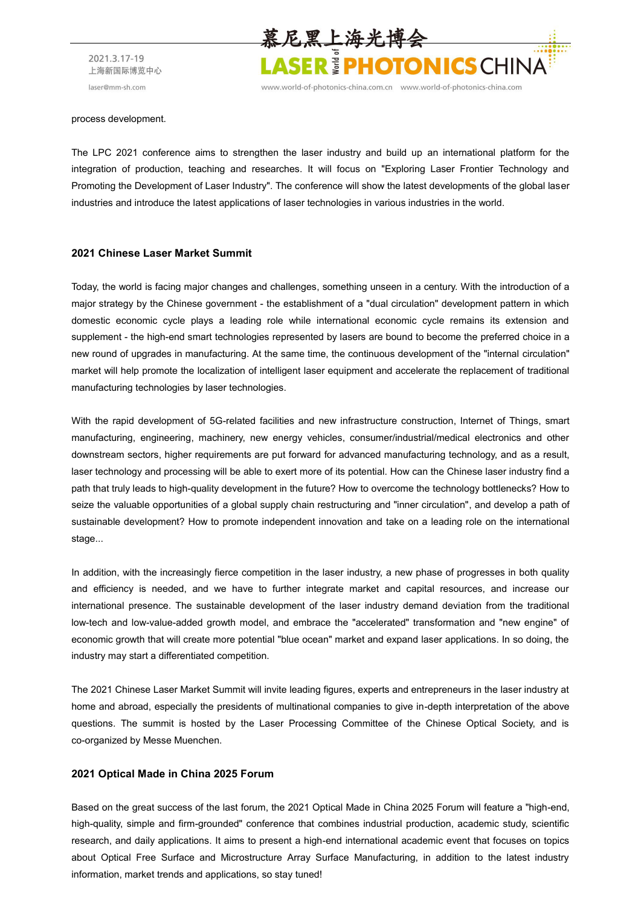

www.world-of-photonics-china.com.cn www.world-of-photonics-china.com

#### process development.

The LPC 2021 conference aims to strengthen the laser industry and build up an international platform for the integration of production, teaching and researches. It will focus on "Exploring Laser Frontier Technology and Promoting the Development of Laser Industry". The conference will show the latest developments of the global laser industries and introduce the latest applications of laser technologies in various industries in the world.

#### **2021 Chinese Laser Market Summit**

Today, the world is facing major changes and challenges, something unseen in a century. With the introduction of a major strategy by the Chinese government - the establishment of a "dual circulation" development pattern in which domestic economic cycle plays a leading role while international economic cycle remains its extension and supplement - the high-end smart technologies represented by lasers are bound to become the preferred choice in a new round of upgrades in manufacturing. At the same time, the continuous development of the "internal circulation" market will help promote the localization of intelligent laser equipment and accelerate the replacement of traditional manufacturing technologies by laser technologies.

With the rapid development of 5G-related facilities and new infrastructure construction, Internet of Things, smart manufacturing, engineering, machinery, new energy vehicles, consumer/industrial/medical electronics and other downstream sectors, higher requirements are put forward for advanced manufacturing technology, and as a result, laser technology and processing will be able to exert more of its potential. How can the Chinese laser industry find a path that truly leads to high-quality development in the future? How to overcome the technology bottlenecks? How to seize the valuable opportunities of a global supply chain restructuring and "inner circulation", and develop a path of sustainable development? How to promote independent innovation and take on a leading role on the international stage...

In addition, with the increasingly fierce competition in the laser industry, a new phase of progresses in both quality and efficiency is needed, and we have to further integrate market and capital resources, and increase our international presence. The sustainable development of the laser industry demand deviation from the traditional low-tech and low-value-added growth model, and embrace the "accelerated" transformation and "new engine" of economic growth that will create more potential "blue ocean" market and expand laser applications. In so doing, the industry may start a differentiated competition.

The 2021 Chinese Laser Market Summit will invite leading figures, experts and entrepreneurs in the laser industry at home and abroad, especially the presidents of multinational companies to give in-depth interpretation of the above questions. The summit is hosted by the Laser Processing Committee of the Chinese Optical Society, and is co-organized by Messe Muenchen.

#### **2021 Optical Made in China 2025 Forum**

Based on the great success of the last forum, the 2021 Optical Made in China 2025 Forum will feature a "high-end, high-quality, simple and firm-grounded" conference that combines industrial production, academic study, scientific research, and daily applications. It aims to present a high-end international academic event that focuses on topics about Optical Free Surface and Microstructure Array Surface Manufacturing, in addition to the latest industry information, market trends and applications, so stay tuned!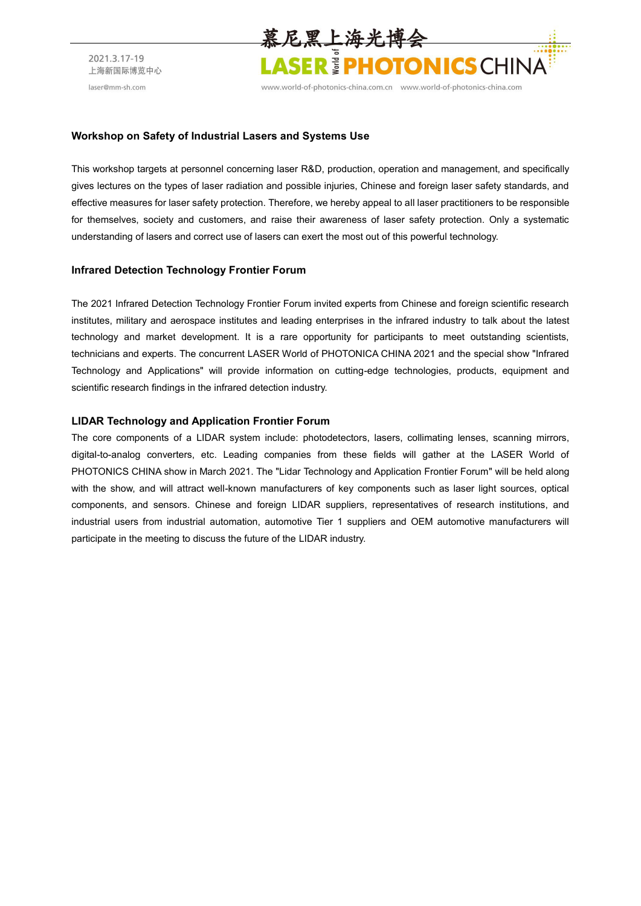

www.world-of-photonics-china.com.cn www.world-of-photonics-china.com

#### **Workshop on Safety of Industrial Lasers and Systems Use**

This workshop targets at personnel concerning laser R&D, production, operation and management, and specifically gives lectures on the types of laser radiation and possible injuries, Chinese and foreign laser safety standards, and effective measures for laser safety protection. Therefore, we hereby appeal to all laser practitioners to be responsible for themselves, society and customers, and raise their awareness of laser safety protection. Only a systematic understanding of lasers and correct use of lasers can exert the most out of this powerful technology.

#### **Infrared Detection Technology Frontier Forum**

The 2021 Infrared Detection Technology Frontier Forum invited experts from Chinese and foreign scientific research institutes, military and aerospace institutes and leading enterprises in the infrared industry to talk about the latest technology and market development. It is a rare opportunity for participants to meet outstanding scientists, technicians and experts. The concurrent LASER World of PHOTONICA CHINA 2021 and the special show "Infrared Technology and Applications" will provide information on cutting-edge technologies, products, equipment and scientific research findings in the infrared detection industry.

#### **LIDAR Technology and Application Frontier Forum**

The core components of a LIDAR system include: photodetectors, lasers, collimating lenses, scanning mirrors, digital-to-analog converters, etc. Leading companies from these fields will gather at the LASER World of PHOTONICS CHINA show in March 2021. The "Lidar Technology and Application Frontier Forum" will be held along with the show, and will attract well-known manufacturers of key components such as laser light sources, optical components, and sensors. Chinese and foreign LIDAR suppliers, representatives of research institutions, and industrial users from industrial automation, automotive Tier 1 suppliers and OEM automotive manufacturers will participate in the meeting to discuss the future of the LIDAR industry.